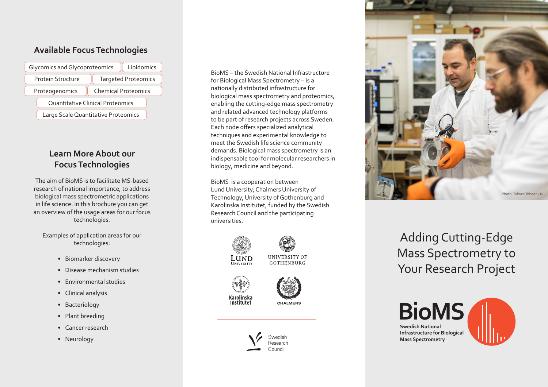### **Available Focus Technologies**

| Glycomics and Glycoproteomics<br>Lipidomics |                            |
|---------------------------------------------|----------------------------|
| <b>Protein Structure</b>                    | <b>Targeted Proteomics</b> |
| Proteogenomics                              | <b>Chemical Proteomics</b> |
| Quantitative Clinical Proteomics            |                            |
| Large Scale Quantitative Proteomics         |                            |

# **Learn More About our Focus Technologies**

The aim of BioMS is to facilitate MS-based research of national importance, to address biological mass spectrometric applications in life science. In this brochure you can get an overview of the usage areas for our focus technologies.

Examples of application areas for our technologies:

- Biomarker discovery
- Disease mechanism studies
- Environmental studies
- Clinical analysis
- Bacteriology
- Plant breeding
- Cancer research
- Neurology

BioMS – the Swedish National Infrastructure for Biological Mass Spectrometry – is a nationally distributed infrastructure for biological mass spectrometry and proteomics, enabling the cutting-edge mass spectrometry and related advanced technology platforms to be part of research projects across Sweden. Each node offers specialized analytical techniques and experimental knowledge to meet the Swedish life science community demands. Biological mass spectrometry is an indispensable tool for molecular researchers in biology, medicine and beyond.

BioMS is a cooperation between Lund University, Chalmers University of Technology, University of Gothenburg and Karolinska Institutet, funded by the Swedish Research Council and the participating universities.



**UNIVERSITY** 

**UNIVERSITY OF GOTHENBURG** 









Adding Cutting-Edge Mass Spectrometry to Your Research Project